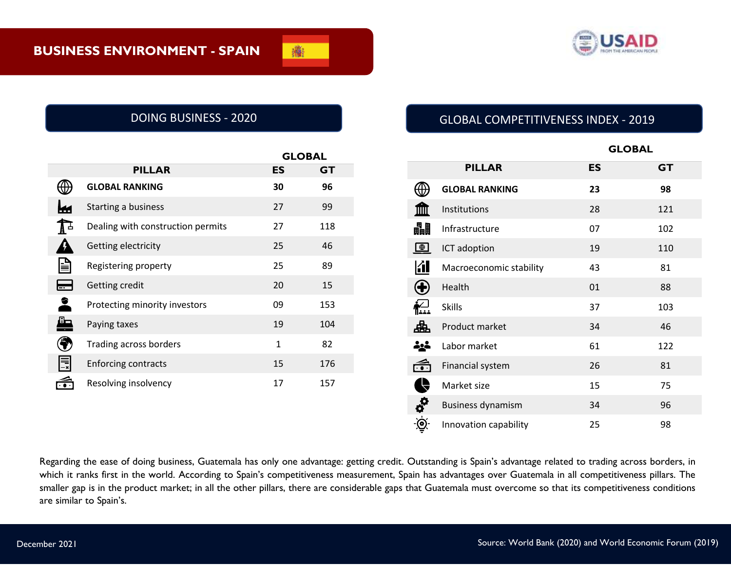

|                                                |                                   | <b>GLOBAL</b> |     |
|------------------------------------------------|-----------------------------------|---------------|-----|
|                                                | <b>PILLAR</b>                     | ES            | GT  |
|                                                | <b>GLOBAL RANKING</b>             | 30            | 96  |
|                                                | Starting a business               | 27            | 99  |
| $\mathbf{A}^{\mathbf{\mathbf{\underline{A}}}}$ | Dealing with construction permits | 27            | 118 |
|                                                | Getting electricity               | 25            | 46  |
| ¦≣                                             | Registering property              | 25            | 89  |
|                                                | Getting credit                    | 20            | 15  |
| 2                                              | Protecting minority investors     | 09            | 153 |
| Æ                                              | Paying taxes                      | 19            | 104 |
|                                                | Trading across borders            | $\mathbf{1}$  | 82  |
| Ē                                              | <b>Enforcing contracts</b>        | 15            | 176 |
|                                                | Resolving insolvency              | 17            | 157 |

# DOING BUSINESS - 2020 GLOBAL COMPETITIVENESS INDEX - 2019

|                                  |                          | <b>GLOBAL</b> |           |  |
|----------------------------------|--------------------------|---------------|-----------|--|
|                                  | <b>PILLAR</b>            | <b>ES</b>     | <b>GT</b> |  |
|                                  | <b>GLOBAL RANKING</b>    | 23            | 98        |  |
|                                  | Institutions             | 28            | 121       |  |
| 畾                                | Infrastructure           | 07            | 102       |  |
| $\bigoplus$                      | ICT adoption             | 19            | 110       |  |
| <b>Kill</b>                      | Macroeconomic stability  | 43            | 81        |  |
| $\bigoplus$                      | Health                   | 01            | 88        |  |
| $\sum_{n=1}^{\infty}$            | <b>Skills</b>            | 37            | 103       |  |
| 盀                                | Product market           | 34            | 46        |  |
| <u> 수도</u> 는                     | Labor market             | 61            | 122       |  |
| ć                                | Financial system         | 26            | 81        |  |
| Ą                                | Market size              | 15            | 75        |  |
| $\boldsymbol{\phi}^{\mathbf{O}}$ | <b>Business dynamism</b> | 34            | 96        |  |
|                                  | Innovation capability    | 25            | 98        |  |

Regarding the ease of doing business, Guatemala has only one advantage: getting credit. Outstanding is Spain's advantage related to trading across borders, in which it ranks first in the world. According to Spain's competitiveness measurement, Spain has advantages over Guatemala in all competitiveness pillars. The smaller gap is in the product market; in all the other pillars, there are considerable gaps that Guatemala must overcome so that its competitiveness conditions are similar to Spain's.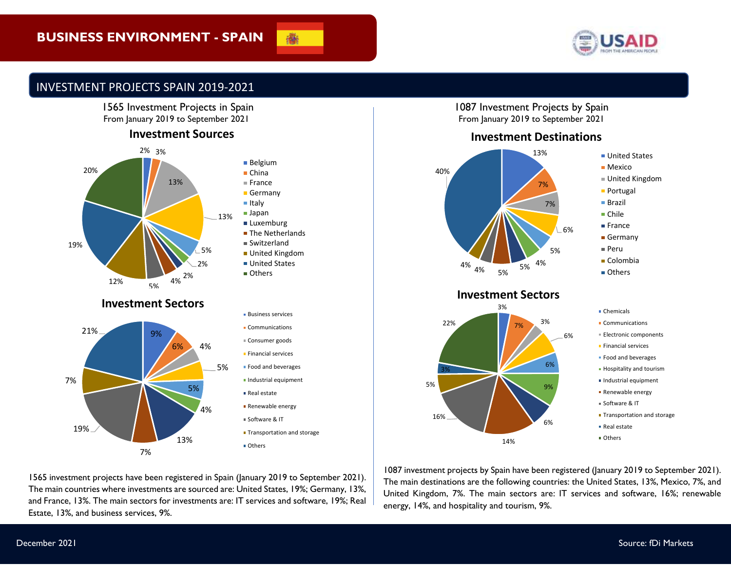

■ United States ■ Mexico

United Kingdom **Portugal** ■ Brazil ■ Chile ■ France Germany Peru ■ Colombia ■ Others

## INVESTMENT PROJECTS SPAIN 2019-2021



### **Investment Sources**



1565 investment projects have been registered in Spain (January 2019 to September 2021). The main countries where investments are sourced are: United States, 19%; Germany, 13%, and France, 13%. The main sectors for investments are: IT services and software, 19%; Real

7%

| 13%<br>$\frac{9}{6}$<br>ሬ | панс<br>■ Germany<br>$\blacksquare$ Italy<br>■ Japan<br>■ Luxemburg<br>■ The Netherlands<br>■ Switzerland<br>■ United Kingdom<br>■ United States<br>■ Others |
|---------------------------|--------------------------------------------------------------------------------------------------------------------------------------------------------------|
|                           | • Business services                                                                                                                                          |
|                           | • Communications                                                                                                                                             |
| ℅                         | ■ Consumer goods                                                                                                                                             |
|                           | <b>Einancial services</b>                                                                                                                                    |
| 5%                        | • Food and beverages                                                                                                                                         |
|                           | · Industrial equipment                                                                                                                                       |
|                           | Real estate                                                                                                                                                  |
| %                         | Renewable energy                                                                                                                                             |
|                           | Software & IT                                                                                                                                                |

**Transportation and storage** 

**Others** 

1087 Investment Projects by Spain From January 2019 to September 2021

### **Investment Destinations**



### **Investment Sectors**



- Chemicals
- **Communications**
- **Electronic components**
- **Financial services**
- **Food and beverages**
- **Hospitality and tourism**
- Industrial equipment
- **Renewable energy**
- Software & IT
- **Transportation and storage**
- Real estate
- **Others**

1087 investment projects by Spain have been registered (January 2019 to September 2021). The main destinations are the following countries: the United States, 13%, Mexico, 7%, and United Kingdom, 7%. The main sectors are: IT services and software, 16%; renewable energy, 14%, and hospitality and tourism, 9%.

Estate, 13%, and business services, 9%.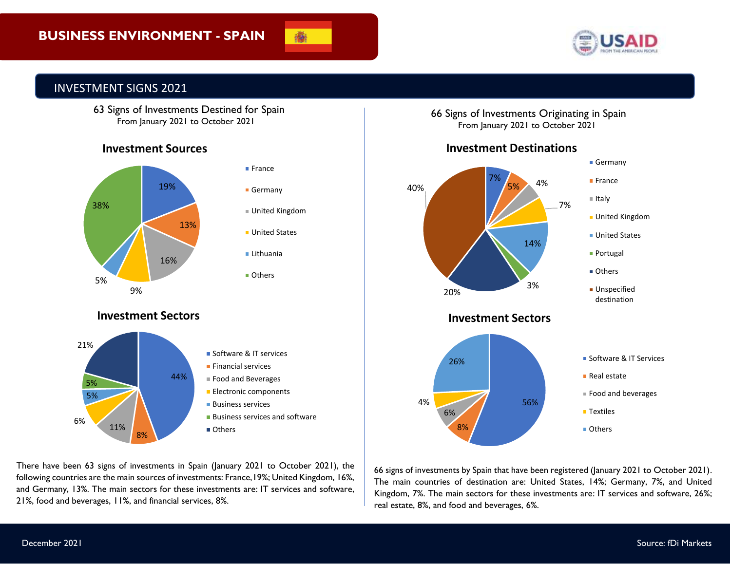



### INVESTMENT SIGNS 2021

 63 Signs of Investments Destined for Spain From January 2021 to October 2021

### **Investment Sources**



and Germany, 13%. The main sectors for these investments are: IT services and software, There have been 63 signs of investments in Spain (January 2021 to October 2021), the following countries are the main sources of investments: France,19%; United Kingdom, 16%, 21%, food and beverages, 11%, and financial services, 8%.

66 Signs of Investments Originating in Spain From January 2021 to October 2021



**Investment Destinations**

66 signs of investments by Spain that have been registered (January 2021 to October 2021). The main countries of destination are: United States, 14%; Germany, 7%, and United Kingdom, 7%. The main sectors for these investments are: IT services and software, 26%; real estate, 8%, and food and beverages, 6%.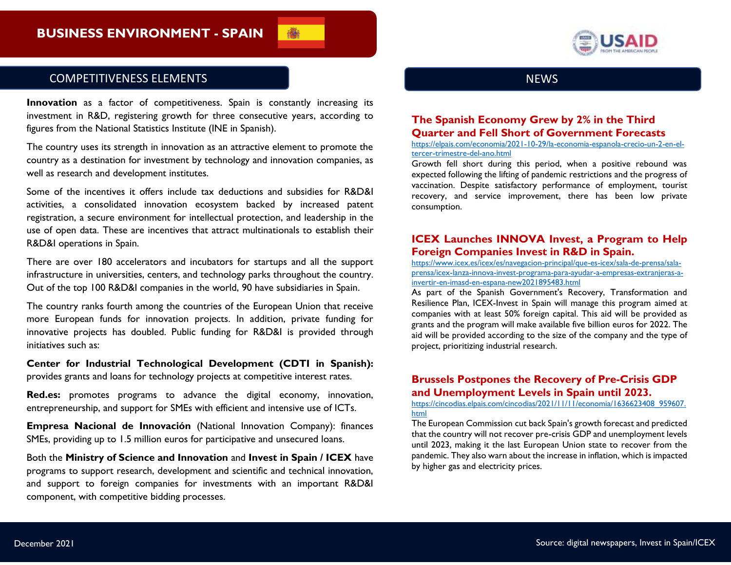

### COMPETITIVENESS ELEMENTS

**Innovation** as a factor of competitiveness. Spain is constantly increasing its investment in R&D, registering growth for three consecutive years, according to figures from the National Statistics Institute (INE in Spanish).

The country uses its strength in innovation as an attractive element to promote the country as a destination for investment by technology and innovation companies, as well as research and development institutes.

Some of the incentives it offers include tax deductions and subsidies for R&D&I activities, a consolidated innovation ecosystem backed by increased patent registration, a secure environment for intellectual protection, and leadership in the use of open data. These are incentives that attract multinationals to establish their R&D&I operations in Spain.

There are over 180 accelerators and incubators for startups and all the support infrastructure in universities, centers, and technology parks throughout the country. Out of the top 100 R&D&I companies in the world, 90 have subsidiaries in Spain.

The country ranks fourth among the countries of the European Union that receive more European funds for innovation projects. In addition, private funding for innovative projects has doubled. Public funding for R&D&I is provided through initiatives such as:

**Center for Industrial Technological Development (CDTI in Spanish):**  provides grants and loans for technology projects at competitive interest rates.

**Red.es:** promotes programs to advance the digital economy, innovation, entrepreneurship, and support for SMEs with efficient and intensive use of ICTs.

**Empresa Nacional de Innovación** (National Innovation Company): finances SMEs, providing up to 1.5 million euros for participative and unsecured loans.

Both the **Ministry of Science and Innovation** and **Invest in Spain / ICEX** have programs to support research, development and scientific and technical innovation, and support to foreign companies for investments with an important R&D&I component, with competitive bidding processes.



### **The Spanish Economy Grew by 2% in the Third Quarter and Fell Short of Government Forecasts**

[https://elpais.com/economia/2021-10-29/la-economia-espanola-crecio-un-2-en-el](https://elpais.com/economia/2021-10-29/la-economia-espanola-crecio-un-2-en-el-tercer-trimestre-del-ano.html)[tercer-trimestre-del-ano.html](https://elpais.com/economia/2021-10-29/la-economia-espanola-crecio-un-2-en-el-tercer-trimestre-del-ano.html)

Growth fell short during this period, when a positive rebound was expected following the lifting of pandemic restrictions and the progress of vaccination. Despite satisfactory performance of employment, tourist recovery, and service improvement, there has been low private consumption.

### **ICEX Launches INNOVA Invest, a Program to Help Foreign Companies Invest in R&D in Spain.**

[https://www.icex.es/icex/es/navegacion-principal/que-es-icex/sala-de-prensa/sala](https://www.icex.es/icex/es/navegacion-principal/que-es-icex/sala-de-prensa/sala-prensa/icex-lanza-innova-invest-programa-para-ayudar-a-empresas-extranjeras-a-invertir-en-imasd-en-espana-new2021895483.html)[prensa/icex-lanza-innova-invest-programa-para-ayudar-a-empresas-extranjeras-a](https://www.icex.es/icex/es/navegacion-principal/que-es-icex/sala-de-prensa/sala-prensa/icex-lanza-innova-invest-programa-para-ayudar-a-empresas-extranjeras-a-invertir-en-imasd-en-espana-new2021895483.html)[invertir-en-imasd-en-espana-new2021895483.html](https://www.icex.es/icex/es/navegacion-principal/que-es-icex/sala-de-prensa/sala-prensa/icex-lanza-innova-invest-programa-para-ayudar-a-empresas-extranjeras-a-invertir-en-imasd-en-espana-new2021895483.html)

As part of the Spanish Government's Recovery, Transformation and Resilience Plan, ICEX-Invest in Spain will manage this program aimed at companies with at least 50% foreign capital. This aid will be provided as grants and the program will make available five billion euros for 2022. The aid will be provided according to the size of the company and the type of project, prioritizing industrial research.

### **Brussels Postpones the Recovery of Pre-Crisis GDP and Unemployment Levels in Spain until 2023.**

[https://cincodias.elpais.com/cincodias/2021/11/11/economia/1636623408\\_959607.](https://cincodias.elpais.com/cincodias/2021/11/11/economia/1636623408_959607.html) [html](https://cincodias.elpais.com/cincodias/2021/11/11/economia/1636623408_959607.html)

The European Commission cut back Spain's growth forecast and predicted that the country will not recover pre-crisis GDP and unemployment levels until 2023, making it the last European Union state to recover from the pandemic. They also warn about the increase in inflation, which is impacted by higher gas and electricity prices.